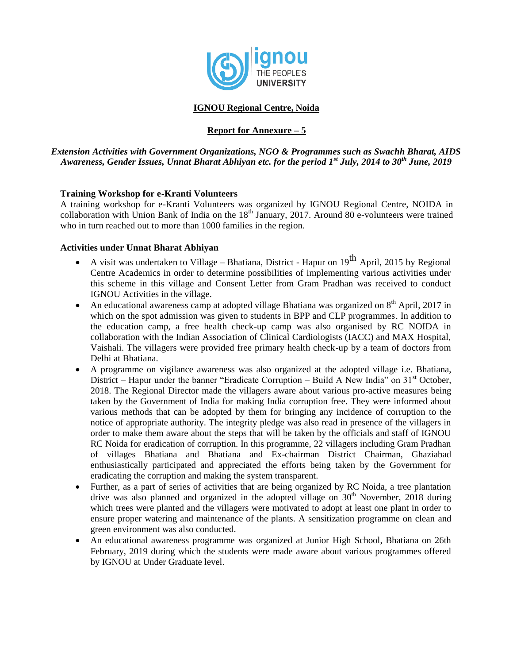

# **IGNOU Regional Centre, Noida**

## **Report for Annexure – 5**

*Extension Activities with Government Organizations, NGO & Programmes such as Swachh Bharat, AIDS Awareness, Gender Issues, Unnat Bharat Abhiyan etc. for the period 1st July, 2014 to 30th June, 2019*

## **Training Workshop for e-Kranti Volunteers**

A training workshop for e-Kranti Volunteers was organized by IGNOU Regional Centre, NOIDA in collaboration with Union Bank of India on the  $18<sup>th</sup>$  January, 2017. Around 80 e-volunteers were trained who in turn reached out to more than 1000 families in the region.

#### **Activities under Unnat Bharat Abhiyan**

- A visit was undertaken to Village Bhatiana, District Hapur on  $19^{th}$  April, 2015 by Regional Centre Academics in order to determine possibilities of implementing various activities under this scheme in this village and Consent Letter from Gram Pradhan was received to conduct IGNOU Activities in the village.
- An educational awareness camp at adopted village Bhatiana was organized on  $8<sup>th</sup>$  April, 2017 in which on the spot admission was given to students in BPP and CLP programmes. In addition to the education camp, a free health check-up camp was also organised by RC NOIDA in collaboration with the Indian Association of Clinical Cardiologists (IACC) and MAX Hospital, Vaishali. The villagers were provided free primary health check-up by a team of doctors from Delhi at Bhatiana.
- A programme on vigilance awareness was also organized at the adopted village i.e. Bhatiana, District – Hapur under the banner "Eradicate Corruption – Build A New India" on 31<sup>st</sup> October, 2018. The Regional Director made the villagers aware about various pro-active measures being taken by the Government of India for making India corruption free. They were informed about various methods that can be adopted by them for bringing any incidence of corruption to the notice of appropriate authority. The integrity pledge was also read in presence of the villagers in order to make them aware about the steps that will be taken by the officials and staff of IGNOU RC Noida for eradication of corruption. In this programme, 22 villagers including Gram Pradhan of villages Bhatiana and Bhatiana and Ex-chairman District Chairman, Ghaziabad enthusiastically participated and appreciated the efforts being taken by the Government for eradicating the corruption and making the system transparent.
- Further, as a part of series of activities that are being organized by RC Noida, a tree plantation drive was also planned and organized in the adopted village on  $30<sup>th</sup>$  November, 2018 during which trees were planted and the villagers were motivated to adopt at least one plant in order to ensure proper watering and maintenance of the plants. A sensitization programme on clean and green environment was also conducted.
- An educational awareness programme was organized at Junior High School, Bhatiana on 26th February, 2019 during which the students were made aware about various programmes offered by IGNOU at Under Graduate level.